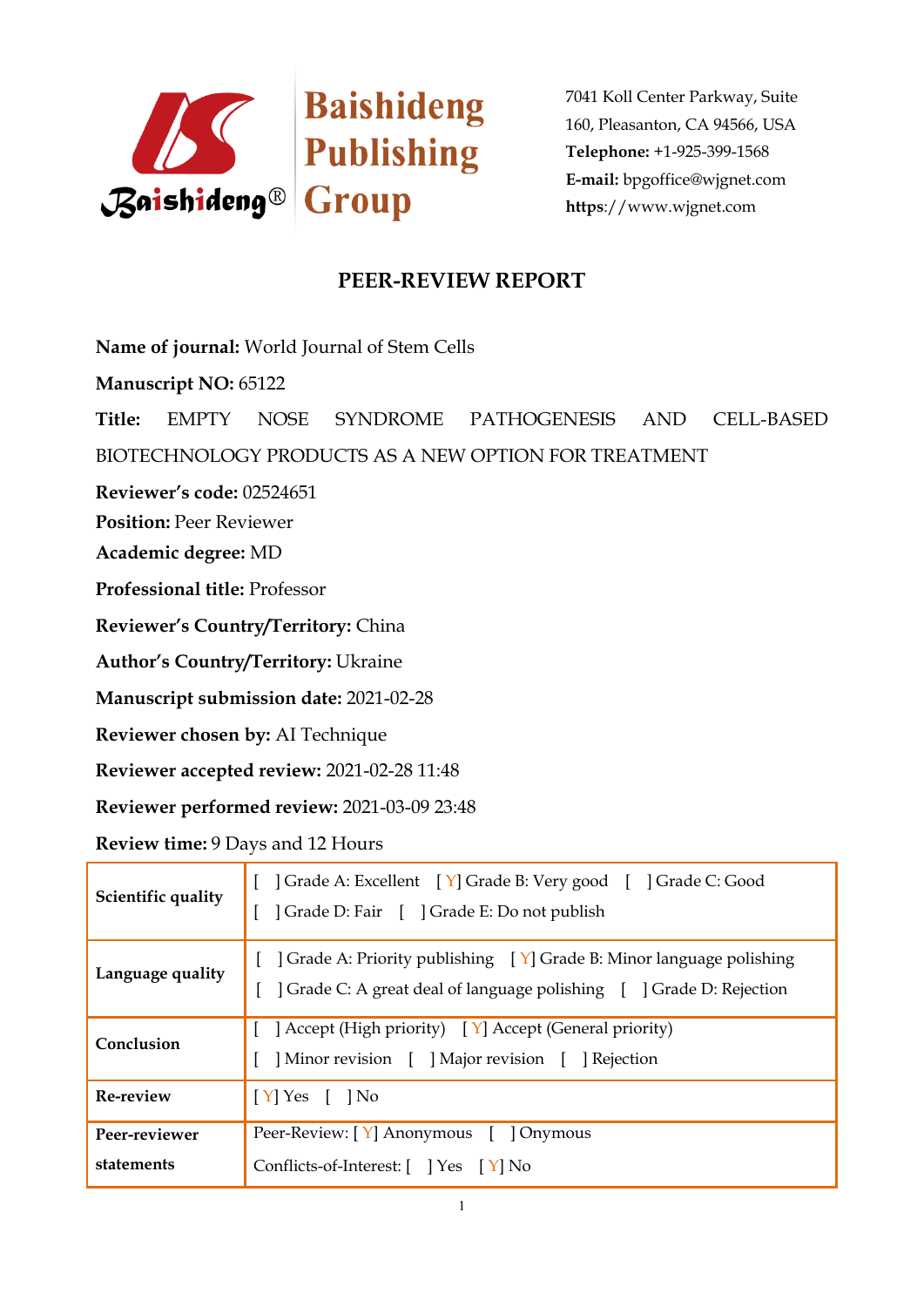

## **PEER-REVIEW REPORT**

**Name of journal:** World Journal of Stem Cells

**Manuscript NO:** 65122

**Title:** EMPTY NOSE SYNDROME PATHOGENESIS AND CELL-BASED

BIOTECHNOLOGY PRODUCTS AS A NEW OPTION FOR TREATMENT

**Reviewer's code:** 02524651

**Position:** Peer Reviewer

**Academic degree:** MD

**Professional title:** Professor

**Reviewer's Country/Territory:** China

**Author's Country/Territory:** Ukraine

**Manuscript submission date:** 2021-02-28

**Reviewer chosen by:** AI Technique

**Reviewer accepted review:** 2021-02-28 11:48

**Reviewer performed review:** 2021-03-09 23:48

**Review time:** 9 Days and 12 Hours

| Scientific quality          | [ ] Grade A: Excellent [ Y] Grade B: Very good [ ] Grade C: Good<br>] Grade D: Fair [ ] Grade E: Do not publish                                                       |
|-----------------------------|-----------------------------------------------------------------------------------------------------------------------------------------------------------------------|
| Language quality            | [ $\int$ Grade A: Priority publishing $\left[\gamma\right]$ Grade B: Minor language polishing<br>] Grade C: A great deal of language polishing [ ] Grade D: Rejection |
| Conclusion                  | [ ] Accept (High priority) $[Y]$ Accept (General priority)<br>] Minor revision [ ] Major revision [ ] Rejection                                                       |
| Re-review                   | $\vert$ [Y] Yes [ ] No                                                                                                                                                |
| Peer-reviewer<br>statements | Peer-Review: [Y] Anonymous [ ] Onymous<br>Conflicts-of-Interest: [ ] Yes [Y] No                                                                                       |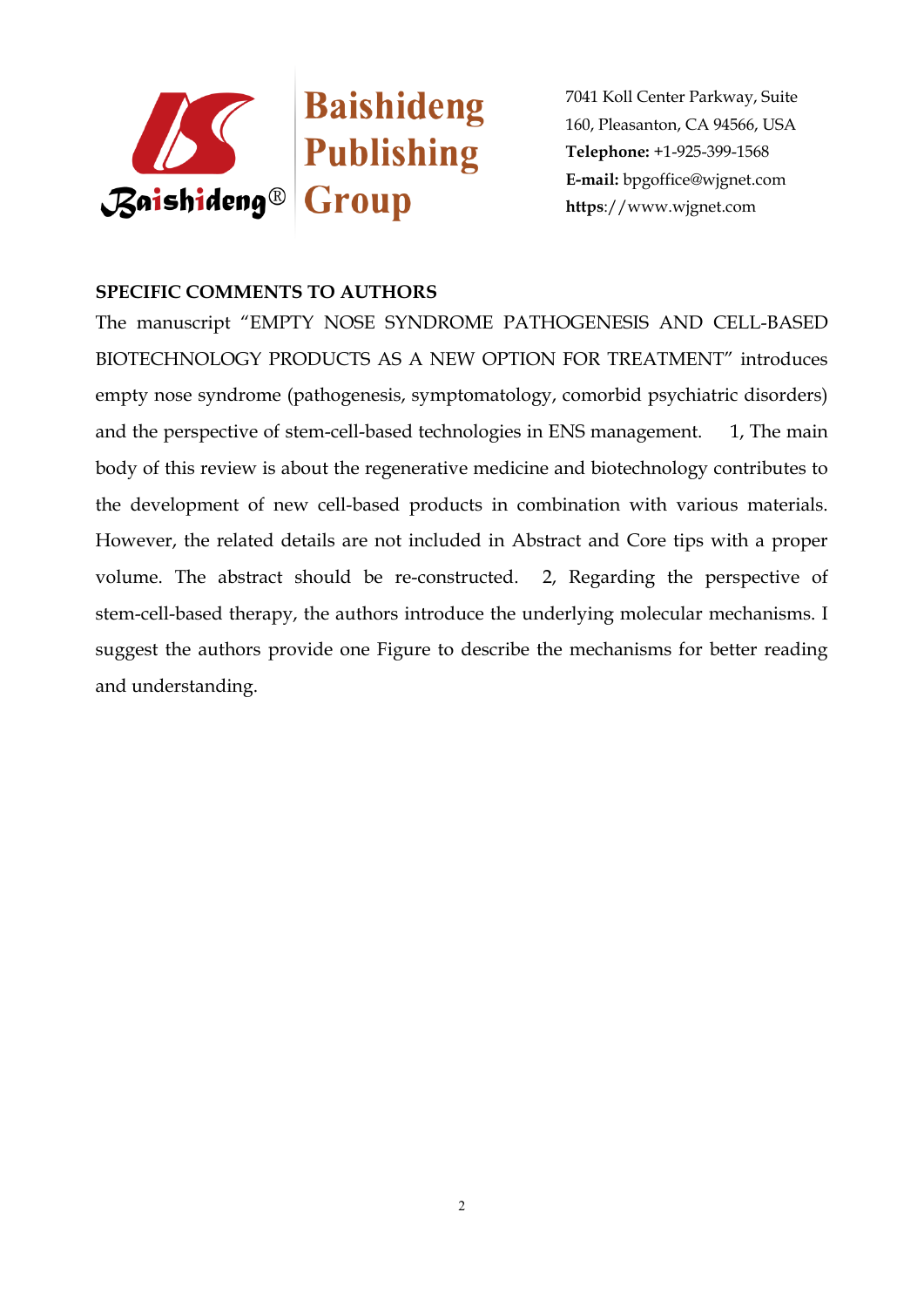

## **SPECIFIC COMMENTS TO AUTHORS**

The manuscript "EMPTY NOSE SYNDROME PATHOGENESIS AND CELL-BASED BIOTECHNOLOGY PRODUCTS AS A NEW OPTION FOR TREATMENT" introduces empty nose syndrome (pathogenesis, symptomatology, comorbid psychiatric disorders) and the perspective of stem-cell-based technologies in ENS management. 1, The main body of this review is about the regenerative medicine and biotechnology contributes to the development of new cell-based products in combination with various materials. However, the related details are not included in Abstract and Core tips with a proper volume. The abstract should be re-constructed. 2, Regarding the perspective of stem-cell-based therapy, the authors introduce the underlying molecular mechanisms. I suggest the authors provide one Figure to describe the mechanisms for better reading and understanding.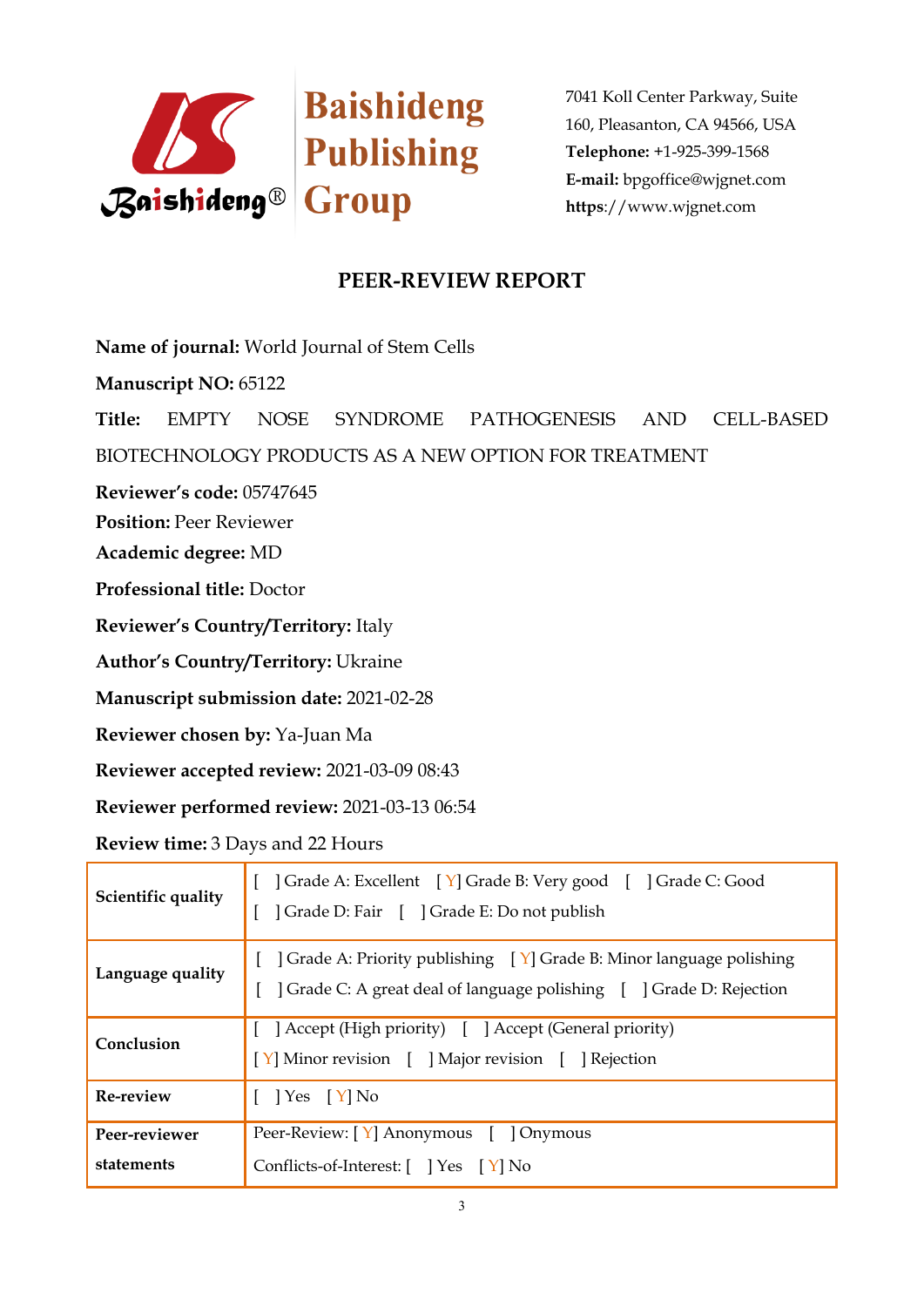

## **PEER-REVIEW REPORT**

**Name of journal:** World Journal of Stem Cells

**Manuscript NO:** 65122

**Title:** EMPTY NOSE SYNDROME PATHOGENESIS AND CELL-BASED

BIOTECHNOLOGY PRODUCTS AS A NEW OPTION FOR TREATMENT

**Reviewer's code:** 05747645

**Position:** Peer Reviewer

**Academic degree:** MD

**Professional title:** Doctor

**Reviewer's Country/Territory:** Italy

**Author's Country/Territory:** Ukraine

**Manuscript submission date:** 2021-02-28

**Reviewer chosen by:** Ya-Juan Ma

**Reviewer accepted review:** 2021-03-09 08:43

**Reviewer performed review:** 2021-03-13 06:54

**Review time:** 3 Days and 22 Hours

| Scientific quality          | [ ] Grade A: Excellent [ Y] Grade B: Very good [ ] Grade C: Good<br>] Grade D: Fair [ ] Grade E: Do not publish                                                       |
|-----------------------------|-----------------------------------------------------------------------------------------------------------------------------------------------------------------------|
| Language quality            | [ $\int$ Grade A: Priority publishing $\left[\gamma\right]$ Grade B: Minor language polishing<br>] Grade C: A great deal of language polishing [ ] Grade D: Rejection |
| Conclusion                  | [ ] Accept (High priority) [ ] Accept (General priority)<br>[Y] Minor revision [ ] Major revision [ ] Rejection                                                       |
| Re-review                   | $[$   Yes $[Y]$ No                                                                                                                                                    |
| Peer-reviewer<br>statements | Peer-Review: [Y] Anonymous [ ] Onymous<br>Conflicts-of-Interest: [ ] Yes [Y] No                                                                                       |